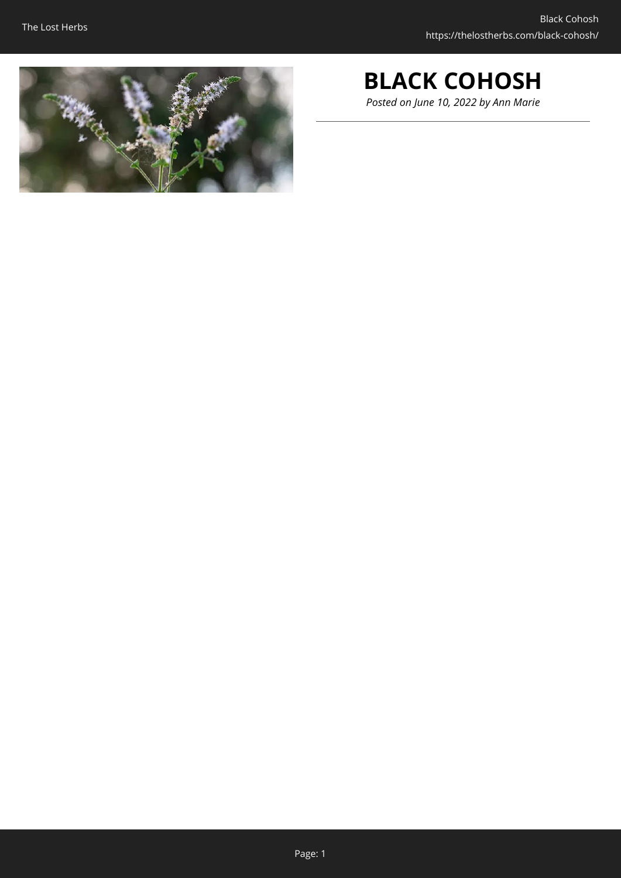

# **BLACK COHOSH**

*Posted on June 10, 2022 by Ann Marie*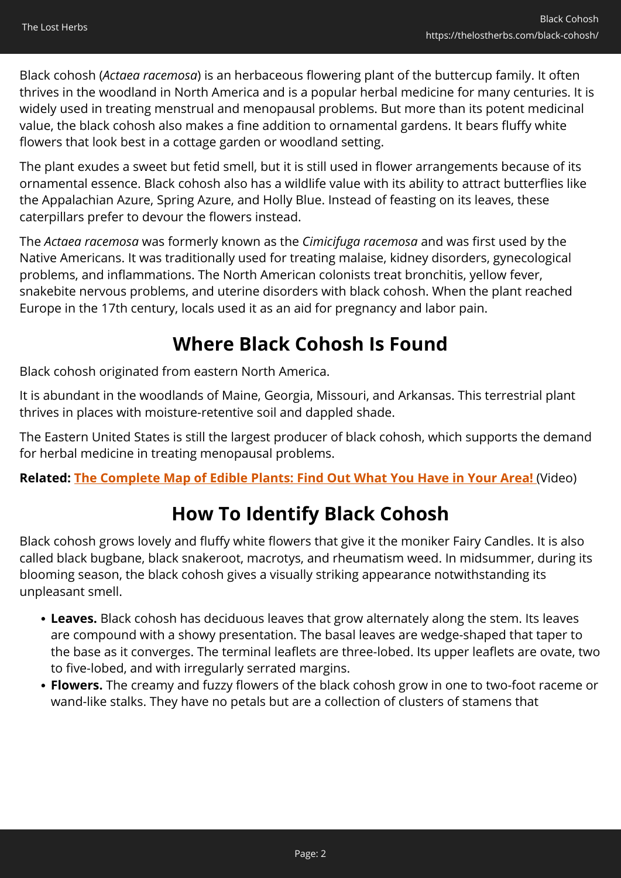Black cohosh (*Actaea racemosa*) is an herbaceous flowering plant of the buttercup family. It often thrives in the woodland in North America and is a popular herbal medicine for many centuries. It is widely used in treating menstrual and menopausal problems. But more than its potent medicinal value, the black cohosh also makes a fine addition to ornamental gardens. It bears fluffy white flowers that look best in a cottage garden or woodland setting.

The plant exudes a sweet but fetid smell, but it is still used in flower arrangements because of its ornamental essence. Black cohosh also has a wildlife value with its ability to attract butterflies like the Appalachian Azure, Spring Azure, and Holly Blue. Instead of feasting on its leaves, these caterpillars prefer to devour the flowers instead.

The *Actaea racemosa* was formerly known as the *Cimicifuga racemosa* and was first used by the Native Americans. It was traditionally used for treating malaise, kidney disorders, gynecological problems, and inflammations. The North American colonists treat bronchitis, yellow fever, snakebite nervous problems, and uterine disorders with black cohosh. When the plant reached Europe in the 17th century, locals used it as an aid for pregnancy and labor pain.

## **Where Black Cohosh Is Found**

Black cohosh originated from eastern North America.

It is abundant in the woodlands of Maine, Georgia, Missouri, and Arkansas. This terrestrial plant thrives in places with moisture-retentive soil and dappled shade.

The Eastern United States is still the largest producer of black cohosh, which supports the demand for herbal medicine in treating menopausal problems.

**Related: [The Complete Map of Edible Plants: Find Out What You Have in Your Area!](https://hop.clickbank.net/?affiliate=easycellar&vendor=wfguide&tid=C02BlackCohoshFGW1)** (Video)

## **How To Identify Black Cohosh**

Black cohosh grows lovely and fluffy white flowers that give it the moniker Fairy Candles. It is also called black bugbane, black snakeroot, macrotys, and rheumatism weed. In midsummer, during its blooming season, the black cohosh gives a visually striking appearance notwithstanding its unpleasant smell.

- **Leaves.** Black cohosh has deciduous leaves that grow alternately along the stem. Its leaves are compound with a showy presentation. The basal leaves are wedge-shaped that taper to the base as it converges. The terminal leaflets are three-lobed. Its upper leaflets are ovate, two to five-lobed, and with irregularly serrated margins.
- **Flowers.** The creamy and fuzzy flowers of the black cohosh grow in one to two-foot raceme or wand-like stalks. They have no petals but are a collection of clusters of stamens that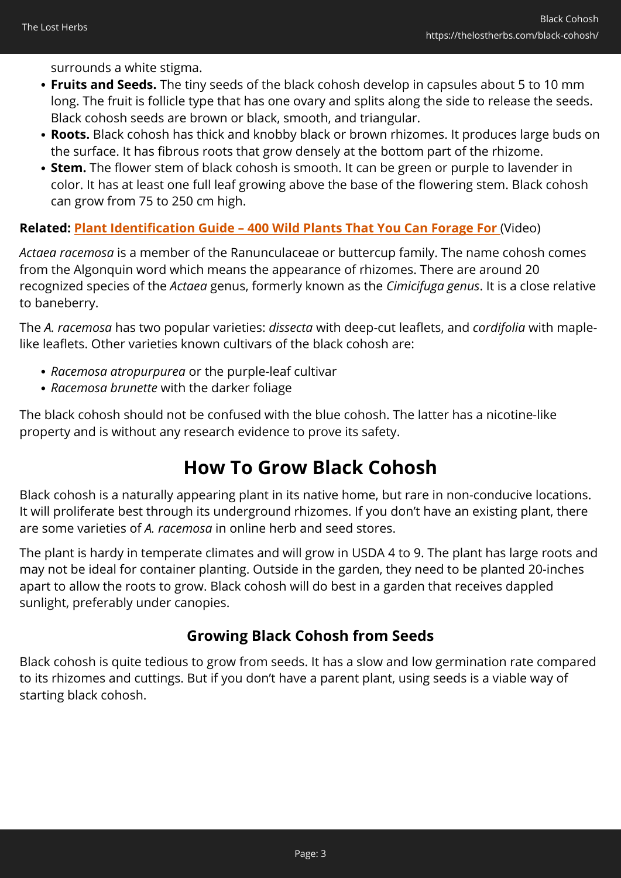surrounds a white stigma.

- **Fruits and Seeds.** The tiny seeds of the black cohosh develop in capsules about 5 to 10 mm long. The fruit is follicle type that has one ovary and splits along the side to release the seeds. Black cohosh seeds are brown or black, smooth, and triangular.
- **Roots.** Black cohosh has thick and knobby black or brown rhizomes. It produces large buds on the surface. It has fibrous roots that grow densely at the bottom part of the rhizome.
- **Stem.** The flower stem of black cohosh is smooth. It can be green or purple to lavender in color. It has at least one full leaf growing above the base of the flowering stem. Black cohosh can grow from 75 to 250 cm high.

### **Related: [Plant Identification Guide – 400 Wild Plants That You Can Forage For](https://hop.clickbank.net/?affiliate=easycellar&vendor=wfguide&tid=C02BlackCohoshFGW2)** (Video)

*Actaea racemosa* is a member of the Ranunculaceae or buttercup family. The name cohosh comes from the Algonquin word which means the appearance of rhizomes. There are around 20 recognized species of the *Actaea* genus, formerly known as the *Cimicifuga genus*. It is a close relative to baneberry.

The *A. racemosa* has two popular varieties: *dissecta* with deep-cut leaflets, and *cordifolia* with maplelike leaflets. Other varieties known cultivars of the black cohosh are:

- *Racemosa atropurpurea* or the purple-leaf cultivar
- *Racemosa brunette* with the darker foliage

The black cohosh should not be confused with the blue cohosh. The latter has a nicotine-like property and is without any research evidence to prove its safety.

## **How To Grow Black Cohosh**

Black cohosh is a naturally appearing plant in its native home, but rare in non-conducive locations. It will proliferate best through its underground rhizomes. If you don't have an existing plant, there are some varieties of *A. racemosa* in online herb and seed stores.

The plant is hardy in temperate climates and will grow in USDA 4 to 9. The plant has large roots and may not be ideal for container planting. Outside in the garden, they need to be planted 20-inches apart to allow the roots to grow. Black cohosh will do best in a garden that receives dappled sunlight, preferably under canopies.

### **Growing Black Cohosh from Seeds**

Black cohosh is quite tedious to grow from seeds. It has a slow and low germination rate compared to its rhizomes and cuttings. But if you don't have a parent plant, using seeds is a viable way of starting black cohosh.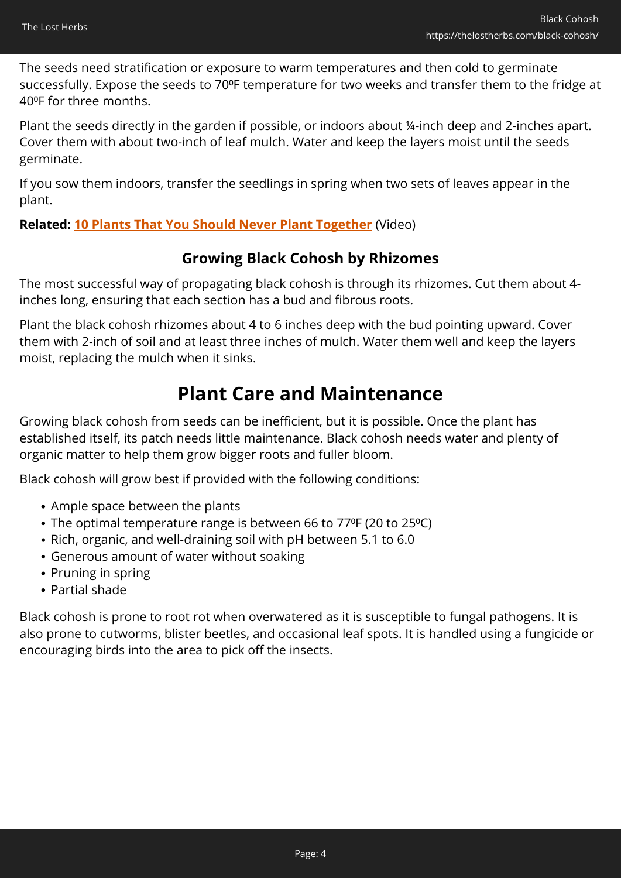The seeds need stratification or exposure to warm temperatures and then cold to germinate successfully. Expose the seeds to 70°F temperature for two weeks and transfer them to the fridge at 40⁰F for three months.

Plant the seeds directly in the garden if possible, or indoors about ¼-inch deep and 2-inches apart. Cover them with about two-inch of leaf mulch. Water and keep the layers moist until the seeds germinate.

If you sow them indoors, transfer the seedlings in spring when two sets of leaves appear in the plant.

### **Related: [10 Plants That You Should Never Plant Together](https://hop.clickbank.net/?affiliate=easycellar&vendor=sbackyard&tid=C02BlackCohoshSSB)** (Video)

### **Growing Black Cohosh by Rhizomes**

The most successful way of propagating black cohosh is through its rhizomes. Cut them about 4 inches long, ensuring that each section has a bud and fibrous roots.

Plant the black cohosh rhizomes about 4 to 6 inches deep with the bud pointing upward. Cover them with 2-inch of soil and at least three inches of mulch. Water them well and keep the layers moist, replacing the mulch when it sinks.

### **Plant Care and Maintenance**

Growing black cohosh from seeds can be inefficient, but it is possible. Once the plant has established itself, its patch needs little maintenance. Black cohosh needs water and plenty of organic matter to help them grow bigger roots and fuller bloom.

Black cohosh will grow best if provided with the following conditions:

- Ample space between the plants
- The optimal temperature range is between 66 to 77ºF (20 to 25ºC)
- Rich, organic, and well-draining soil with pH between 5.1 to 6.0
- Generous amount of water without soaking
- Pruning in spring
- Partial shade

Black cohosh is prone to root rot when overwatered as it is susceptible to fungal pathogens. It is also prone to cutworms, blister beetles, and occasional leaf spots. It is handled using a fungicide or encouraging birds into the area to pick off the insects.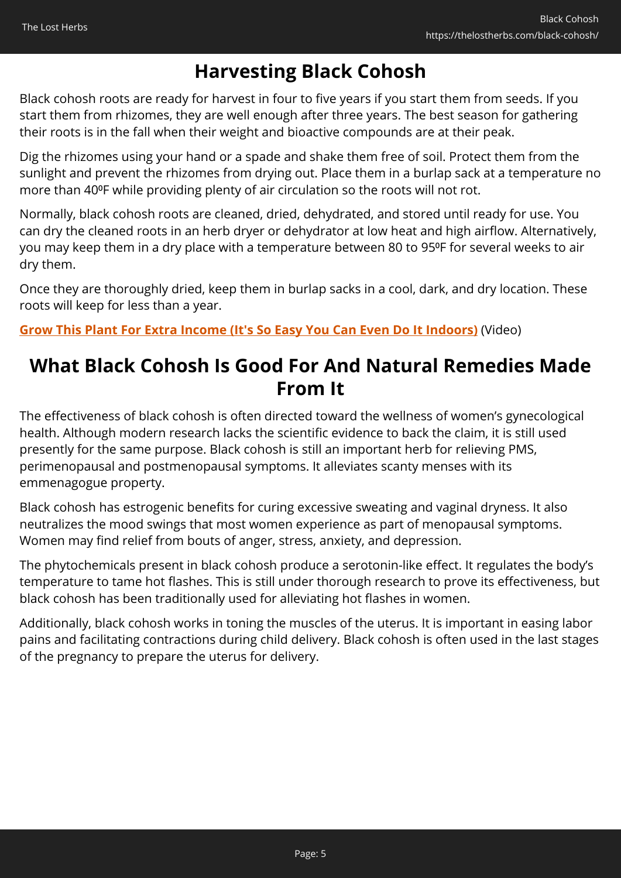## **Harvesting Black Cohosh**

Black cohosh roots are ready for harvest in four to five years if you start them from seeds. If you start them from rhizomes, they are well enough after three years. The best season for gathering their roots is in the fall when their weight and bioactive compounds are at their peak.

Dig the rhizomes using your hand or a spade and shake them free of soil. Protect them from the sunlight and prevent the rhizomes from drying out. Place them in a burlap sack at a temperature no more than 40°F while providing plenty of air circulation so the roots will not rot.

Normally, black cohosh roots are cleaned, dried, dehydrated, and stored until ready for use. You can dry the cleaned roots in an herb dryer or dehydrator at low heat and high airflow. Alternatively, you may keep them in a dry place with a temperature between 80 to 95ºF for several weeks to air dry them.

Once they are thoroughly dried, keep them in burlap sacks in a cool, dark, and dry location. These roots will keep for less than a year.

**[Grow This Plant For Extra Income \(It's So Easy You Can Even Do It Indoors\)](https://hop.clickbank.net/?affiliate=easycellar&vendor=bookofren&tid=C02BlackCohoshMK1)** (Video)

## **What Black Cohosh Is Good For And Natural Remedies Made From It**

The effectiveness of black cohosh is often directed toward the wellness of women's gynecological health. Although modern research lacks the scientific evidence to back the claim, it is still used presently for the same purpose. Black cohosh is still an important herb for relieving PMS, perimenopausal and postmenopausal symptoms. It alleviates scanty menses with its emmenagogue property.

Black cohosh has estrogenic benefits for curing excessive sweating and vaginal dryness. It also neutralizes the mood swings that most women experience as part of menopausal symptoms. Women may find relief from bouts of anger, stress, anxiety, and depression.

The phytochemicals present in black cohosh produce a serotonin-like effect. It regulates the body's temperature to tame hot flashes. This is still under thorough research to prove its effectiveness, but black cohosh has been traditionally used for alleviating hot flashes in women.

Additionally, black cohosh works in toning the muscles of the uterus. It is important in easing labor pains and facilitating contractions during child delivery. Black cohosh is often used in the last stages of the pregnancy to prepare the uterus for delivery.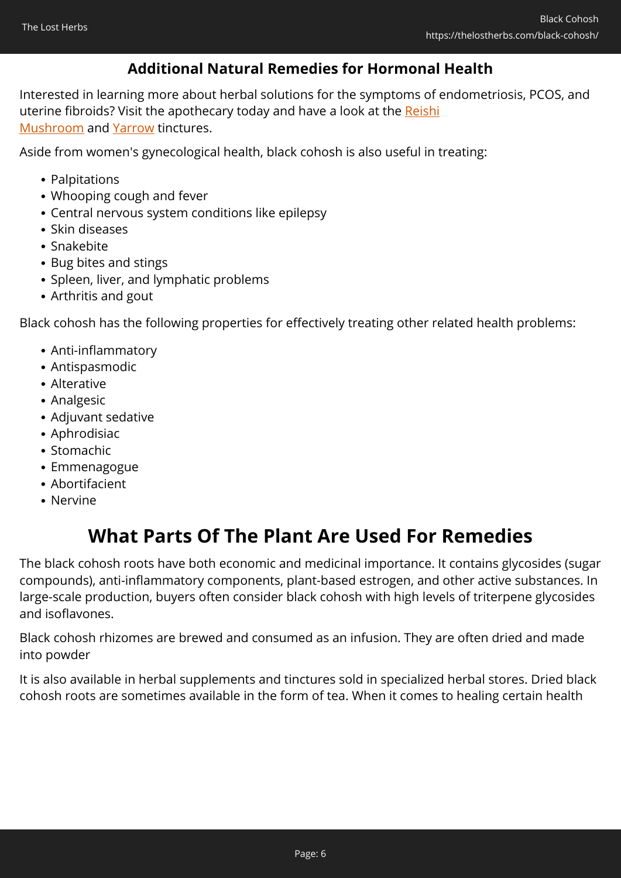### **Additional Natural Remedies for Hormonal Health**

Interested in learning more about herbal solutions for the symptoms of endometriosis, PCOS, and uterine fibroids? Visit the apothecary today and have a look at the [Reishi](https://nicolesapothecary.com/collections/all/products/reishi-mushroom-tincture?rfsn=5642246.05c3d29&utm_source=refersion&utm_medium=affiliate&utm_campaign=5642246.05c3d29&subid=C02BlackCohosh) [Mushroom](https://nicolesapothecary.com/collections/all/products/reishi-mushroom-tincture?rfsn=5642246.05c3d29&utm_source=refersion&utm_medium=affiliate&utm_campaign=5642246.05c3d29&subid=C02BlackCohosh) and [Yarrow](https://nicolesapothecary.com/collections/all/products/yarrow-tincture?rfsn=5642246.05c3d29&utm_source=refersion&utm_medium=affiliate&utm_campaign=5642246.05c3d29&subid=C02BlackCohosh) tinctures.

Aside from women's gynecological health, black cohosh is also useful in treating:

- Palpitations
- Whooping cough and fever
- Central nervous system conditions like epilepsy
- Skin diseases
- Snakebite
- Bug bites and stings
- Spleen, liver, and lymphatic problems
- Arthritis and gout

Black cohosh has the following properties for effectively treating other related health problems:

- Anti-inflammatory
- Antispasmodic
- Alterative
- Analgesic
- Adjuvant sedative
- Aphrodisiac
- Stomachic
- Emmenagogue
- Abortifacient
- Nervine

## **What Parts Of The Plant Are Used For Remedies**

The black cohosh roots have both economic and medicinal importance. It contains glycosides (sugar compounds), anti-inflammatory components, plant-based estrogen, and other active substances. In large-scale production, buyers often consider black cohosh with high levels of triterpene glycosides and isoflavones.

Black cohosh rhizomes are brewed and consumed as an infusion. They are often dried and made into powder

It is also available in herbal supplements and tinctures sold in specialized herbal stores. Dried black cohosh roots are sometimes available in the form of tea. When it comes to healing certain health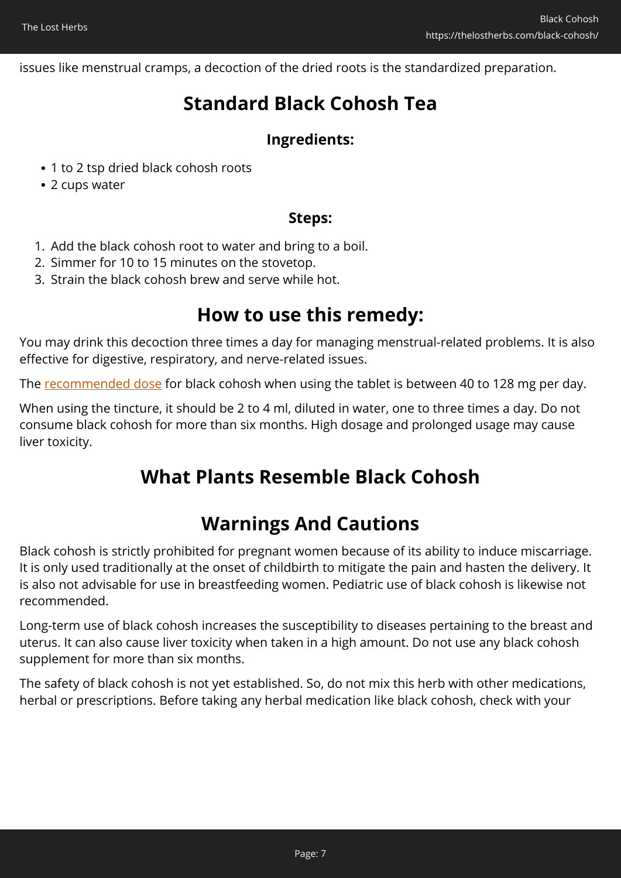issues like menstrual cramps, a decoction of the dried roots is the standardized preparation.

## **Standard Black Cohosh Tea**

### **Ingredients:**

- 1 to 2 tsp dried black cohosh roots
- 2 cups water

### **Steps:**

- 1. Add the black cohosh root to water and bring to a boil.
- 2. Simmer for 10 to 15 minutes on the stovetop.
- 3. Strain the black cohosh brew and serve while hot.

### **How to use this remedy:**

You may drink this decoction three times a day for managing menstrual-related problems. It is also effective for digestive, respiratory, and nerve-related issues.

The [recommended dose](https://www.webmd.com/vitamins/ai/ingredientmono-857/black-cohosh) for black cohosh when using the tablet is between 40 to 128 mg per day.

When using the tincture, it should be 2 to 4 ml, diluted in water, one to three times a day. Do not consume black cohosh for more than six months. High dosage and prolonged usage may cause liver toxicity.

### **What Plants Resemble Black Cohosh**

## **Warnings And Cautions**

Black cohosh is strictly prohibited for pregnant women because of its ability to induce miscarriage. It is only used traditionally at the onset of childbirth to mitigate the pain and hasten the delivery. It is also not advisable for use in breastfeeding women. Pediatric use of black cohosh is likewise not recommended.

Long-term use of black cohosh increases the susceptibility to diseases pertaining to the breast and uterus. It can also cause liver toxicity when taken in a high amount. Do not use any black cohosh supplement for more than six months.

The safety of black cohosh is not yet established. So, do not mix this herb with other medications, herbal or prescriptions. Before taking any herbal medication like black cohosh, check with your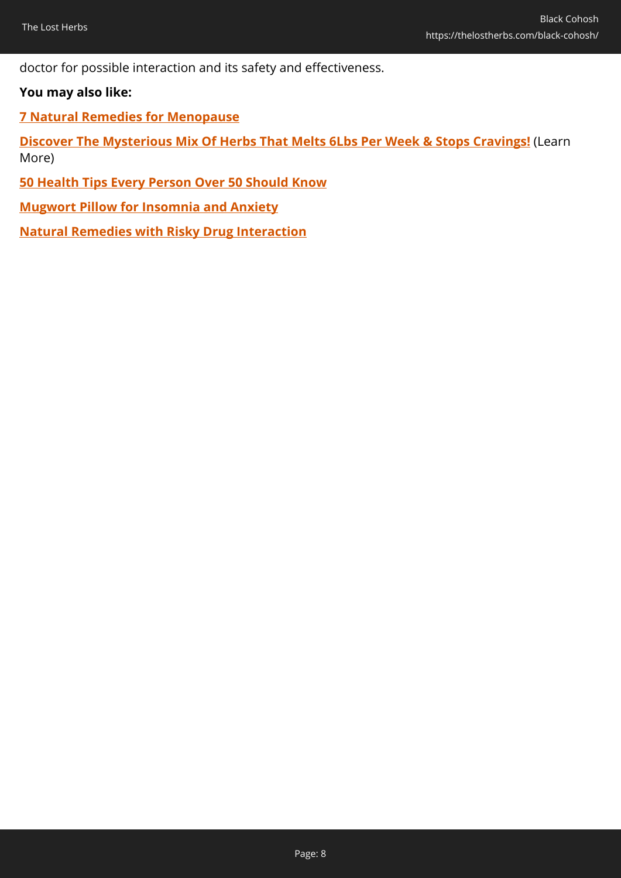doctor for possible interaction and its safety and effectiveness.

### **You may also like:**

**[7 Natural Remedies for Menopause](https://thelostherbs.com/7-natural-remedies-for-menopause/)**

**[Discover The Mysterious Mix Of Herbs That Melts 6Lbs Per Week & Stops Cravings!](https://hop.clickbank.net/?affiliate=easycellar&vendor=allslimtea&op=start&tid=C02BlackCohoshDST)** (Learn More)

**[50 Health Tips Every Person Over 50 Should Know](https://thelostherbs.com/50-health-tips-every-person-over-50-should-know/)**

**[Mugwort Pillow for Insomnia and Anxiety](https://thelostherbs.com/mugwort-pillow-for-insomnia-and-anxiety/)**

**[Natural Remedies with Risky Drug Interaction](https://thelostherbs.com/natural-remedies-with-risky-drug-interaction/)**